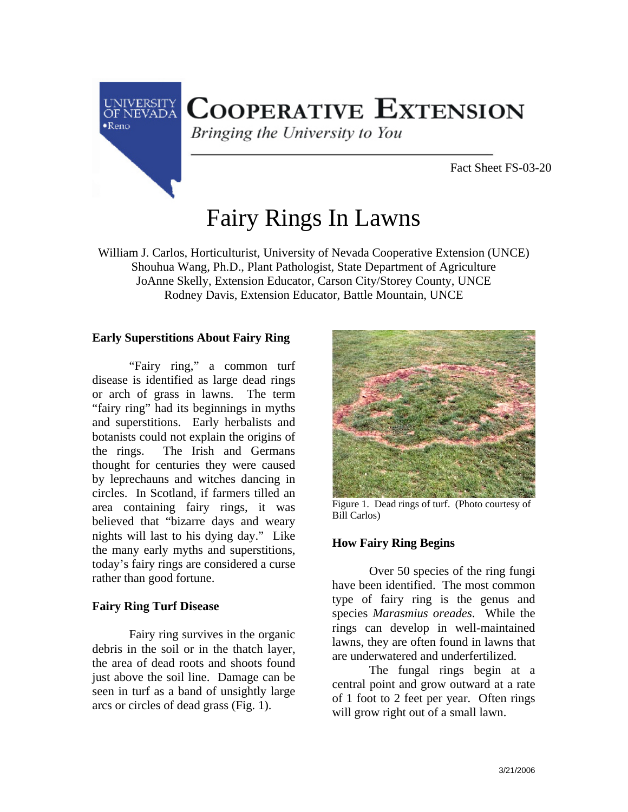

# **COOPERATIVE EXTENSION**

Bringing the University to You

Fact Sheet FS-03-20

# Fairy Rings In Lawns

William J. Carlos, Horticulturist, University of Nevada Cooperative Extension (UNCE) Shouhua Wang, Ph.D., Plant Pathologist, State Department of Agriculture JoAnne Skelly, Extension Educator, Carson City/Storey County, UNCE Rodney Davis, Extension Educator, Battle Mountain, UNCE

### **Early Superstitions About Fairy Ring**

"Fairy ring," a common turf disease is identified as large dead rings or arch of grass in lawns. The term "fairy ring" had its beginnings in myths and superstitions. Early herbalists and botanists could not explain the origins of the rings. The Irish and Germans thought for centuries they were caused by leprechauns and witches dancing in circles. In Scotland, if farmers tilled an area containing fairy rings, it was believed that "bizarre days and weary nights will last to his dying day." Like the many early myths and superstitions, today's fairy rings are considered a curse rather than good fortune.

### **Fairy Ring Turf Disease**

Fairy ring survives in the organic debris in the soil or in the thatch layer, the area of dead roots and shoots found just above the soil line. Damage can be seen in turf as a band of unsightly large arcs or circles of dead grass (Fig. 1).



Figure 1. Dead rings of turf. (Photo courtesy of Bill Carlos)

### **How Fairy Ring Begins**

Over 50 species of the ring fungi have been identified. The most common type of fairy ring is the genus and species *Marasmius oreades*. While the rings can develop in well-maintained lawns, they are often found in lawns that are underwatered and underfertilized.

The fungal rings begin at a central point and grow outward at a rate of 1 foot to 2 feet per year. Often rings will grow right out of a small lawn.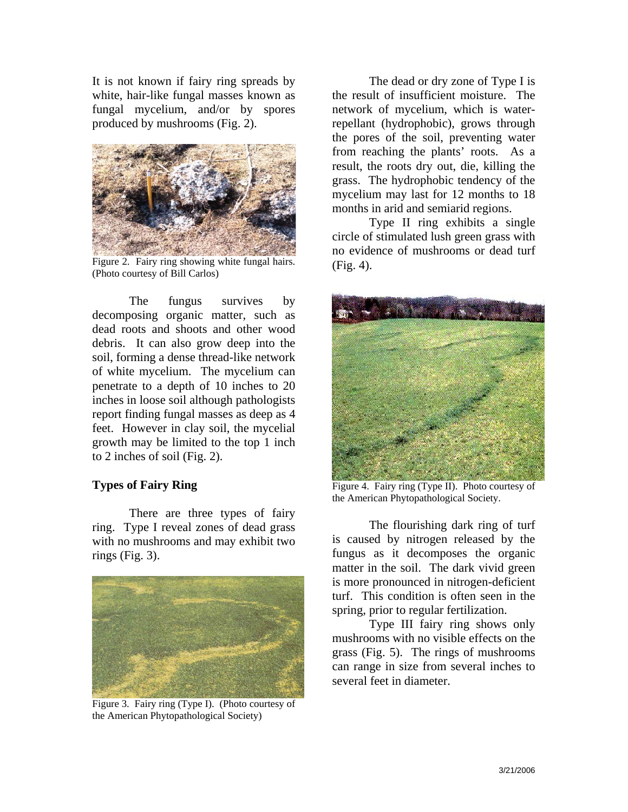It is not known if fairy ring spreads by white, hair-like fungal masses known as fungal mycelium, and/or by spores produced by mushrooms (Fig. 2).



Figure 2. Fairy ring showing white fungal hairs. (Photo courtesy of Bill Carlos)

The fungus survives by decomposing organic matter, such as dead roots and shoots and other wood debris. It can also grow deep into the soil, forming a dense thread-like network of white mycelium. The mycelium can penetrate to a depth of 10 inches to 20 inches in loose soil although pathologists report finding fungal masses as deep as 4 feet. However in clay soil, the mycelial growth may be limited to the top 1 inch to 2 inches of soil (Fig. 2).

#### **Types of Fairy Ring**

There are three types of fairy ring. Type I reveal zones of dead grass with no mushrooms and may exhibit two rings (Fig. 3).



Figure 3. Fairy ring (Type I). (Photo courtesy of the American Phytopathological Society)

The dead or dry zone of Type I is the result of insufficient moisture. The network of mycelium, which is waterrepellant (hydrophobic), grows through the pores of the soil, preventing water from reaching the plants' roots. As a result, the roots dry out, die, killing the grass. The hydrophobic tendency of the mycelium may last for 12 months to 18 months in arid and semiarid regions.

Type II ring exhibits a single circle of stimulated lush green grass with no evidence of mushrooms or dead turf (Fig. 4).



Figure 4. Fairy ring (Type II). Photo courtesy of the American Phytopathological Society.

The flourishing dark ring of turf is caused by nitrogen released by the fungus as it decomposes the organic matter in the soil. The dark vivid green is more pronounced in nitrogen-deficient turf. This condition is often seen in the spring, prior to regular fertilization.

Type III fairy ring shows only mushrooms with no visible effects on the grass (Fig. 5). The rings of mushrooms can range in size from several inches to several feet in diameter.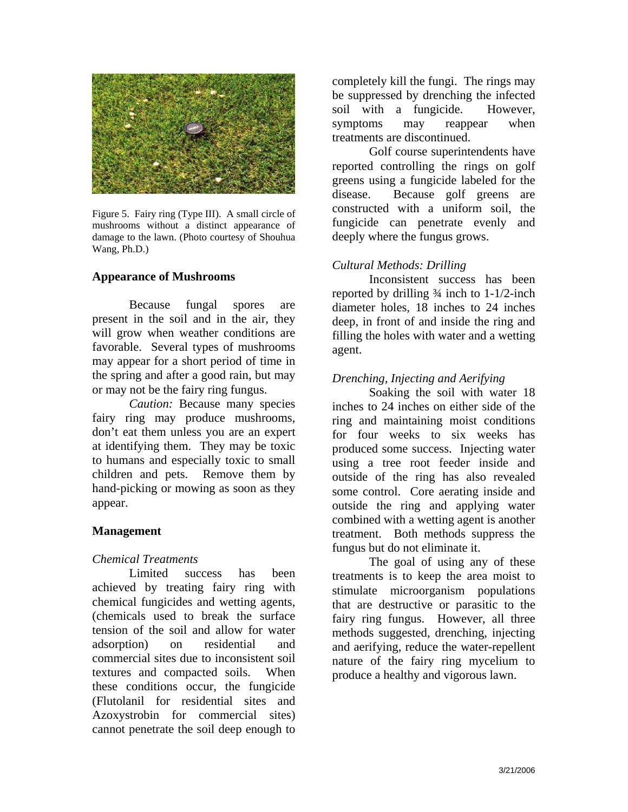

Figure 5. Fairy ring (Type III). A small circle of mushrooms without a distinct appearance of damage to the lawn. (Photo courtesy of Shouhua Wang, Ph.D.)

#### **Appearance of Mushrooms**

Because fungal spores are present in the soil and in the air, they will grow when weather conditions are favorable. Several types of mushrooms may appear for a short period of time in the spring and after a good rain, but may or may not be the fairy ring fungus.

*Caution:* Because many species fairy ring may produce mushrooms, don't eat them unless you are an expert at identifying them. They may be toxic to humans and especially toxic to small children and pets. Remove them by hand-picking or mowing as soon as they appear.

### **Management**

### *Chemical Treatments*

Limited success has been achieved by treating fairy ring with chemical fungicides and wetting agents, (chemicals used to break the surface tension of the soil and allow for water adsorption) on residential and commercial sites due to inconsistent soil textures and compacted soils. When these conditions occur, the fungicide (Flutolanil for residential sites and Azoxystrobin for commercial sites) cannot penetrate the soil deep enough to

completely kill the fungi. The rings may be suppressed by drenching the infected soil with a fungicide. However, symptoms may reappear when treatments are discontinued.

Golf course superintendents have reported controlling the rings on golf greens using a fungicide labeled for the disease. Because golf greens are constructed with a uniform soil, the fungicide can penetrate evenly and deeply where the fungus grows.

## *Cultural Methods: Drilling*

Inconsistent success has been reported by drilling  $\frac{3}{4}$  inch to 1-1/2-inch diameter holes, 18 inches to 24 inches deep, in front of and inside the ring and filling the holes with water and a wetting agent.

### *Drenching, Injecting and Aerifying*

Soaking the soil with water 18 inches to 24 inches on either side of the ring and maintaining moist conditions for four weeks to six weeks has produced some success. Injecting water using a tree root feeder inside and outside of the ring has also revealed some control. Core aerating inside and outside the ring and applying water combined with a wetting agent is another treatment. Both methods suppress the fungus but do not eliminate it.

The goal of using any of these treatments is to keep the area moist to stimulate microorganism populations that are destructive or parasitic to the fairy ring fungus. However, all three methods suggested, drenching, injecting and aerifying, reduce the water-repellent nature of the fairy ring mycelium to produce a healthy and vigorous lawn.